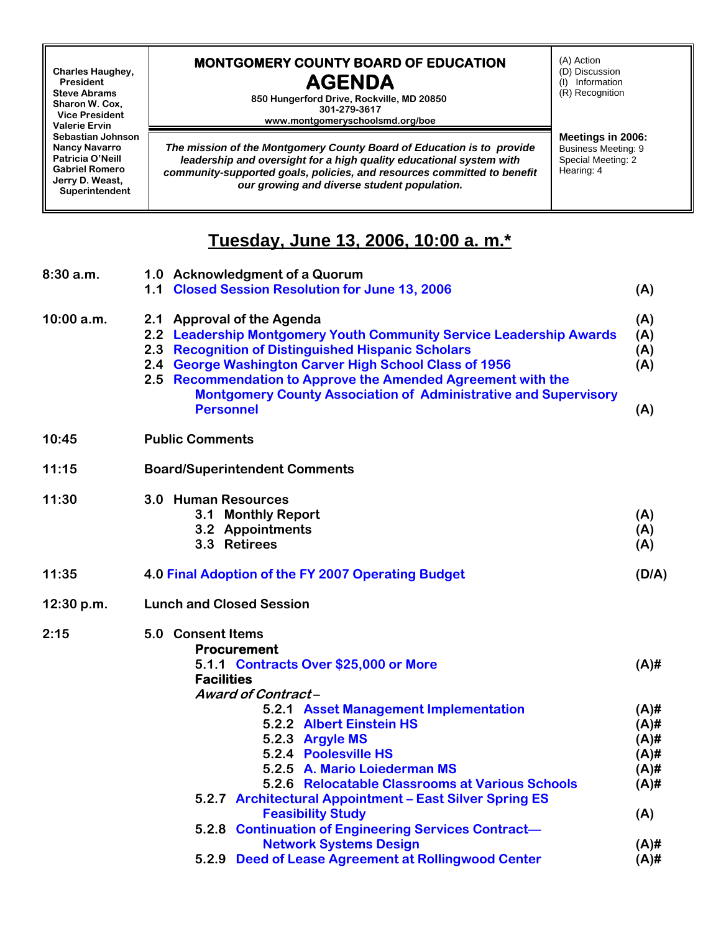**Charles Haughey, President Steve Abrams Sharon W. Cox, Vice President Valerie Ervin Sebastian Johnson Nancy Navarro Patricia O'Neill Gabriel Romero Jerry D. Weast, Superintendent**

## **MONTGOMERY COUNTY BOARD OF EDUCATION AGENDA**

**850 Hungerford Drive, Rockville, MD 20850 301-279-3617 www.montgomeryschoolsmd.org/boe**

*The mission of the Montgomery County Board of Education is to provide leadership and oversight for a high quality educational system with community-supported goals, policies, and resources committed to benefit our growing and diverse student population.*

(A) Action (D) Discussion (I) Information (R) Recognition

**Meetings in 2006:** Business Meeting: 9 Special Meeting: 2 Hearing: 4

## **Tuesday, June 13, 2006, 10:00 a. m.\***

| 8:30a.m.     | 1.0 Acknowledgment of a Quorum                                                                                                                                                                                                                                                                                                                                                  |                                                                       |
|--------------|---------------------------------------------------------------------------------------------------------------------------------------------------------------------------------------------------------------------------------------------------------------------------------------------------------------------------------------------------------------------------------|-----------------------------------------------------------------------|
|              | 1.1 Closed Session Resolution for June 13, 2006                                                                                                                                                                                                                                                                                                                                 | (A)                                                                   |
| $10:00$ a.m. | 2.1 Approval of the Agenda<br>2.2 Leadership Montgomery Youth Community Service Leadership Awards<br>2.3 Recognition of Distinguished Hispanic Scholars<br>2.4 George Washington Carver High School Class of 1956<br>2.5 Recommendation to Approve the Amended Agreement with the<br><b>Montgomery County Association of Administrative and Supervisory</b><br><b>Personnel</b> | (A)<br>(A)<br>(A)<br>(A)<br>(A)                                       |
| 10:45        | <b>Public Comments</b>                                                                                                                                                                                                                                                                                                                                                          |                                                                       |
| 11:15        | <b>Board/Superintendent Comments</b>                                                                                                                                                                                                                                                                                                                                            |                                                                       |
| 11:30        | 3.0 Human Resources<br>3.1 Monthly Report<br>3.2 Appointments<br>3.3 Retirees                                                                                                                                                                                                                                                                                                   | (A)<br>(A)<br>(A)                                                     |
| 11:35        | 4.0 Final Adoption of the FY 2007 Operating Budget                                                                                                                                                                                                                                                                                                                              | (D/A)                                                                 |
| 12:30 p.m.   | <b>Lunch and Closed Session</b>                                                                                                                                                                                                                                                                                                                                                 |                                                                       |
| 2:15         | 5.0 Consent Items<br><b>Procurement</b><br>5.1.1 Contracts Over \$25,000 or More<br><b>Facilities</b>                                                                                                                                                                                                                                                                           | $(A)$ #                                                               |
|              | <b>Award of Contract-</b><br>5.2.1 Asset Management Implementation<br>5.2.2 Albert Einstein HS<br>5.2.3 Argyle MS<br>5.2.4 Poolesville HS<br>5.2.5 A. Mario Loiederman MS<br>5.2.6 Relocatable Classrooms at Various Schools<br>5.2.7 Architectural Appointment - East Silver Spring ES<br><b>Feasibility Study</b><br>5.2.8 Continuation of Engineering Services Contract-     | $(A)$ #<br>$(A)$ #<br>$(A)$ #<br>$(A)$ #<br>$(A)$ #<br>$(A)$ #<br>(A) |
|              | <b>Network Systems Design</b>                                                                                                                                                                                                                                                                                                                                                   | $(A)$ #                                                               |
|              | 5.2.9 Deed of Lease Agreement at Rollingwood Center                                                                                                                                                                                                                                                                                                                             | $(A)$ #                                                               |